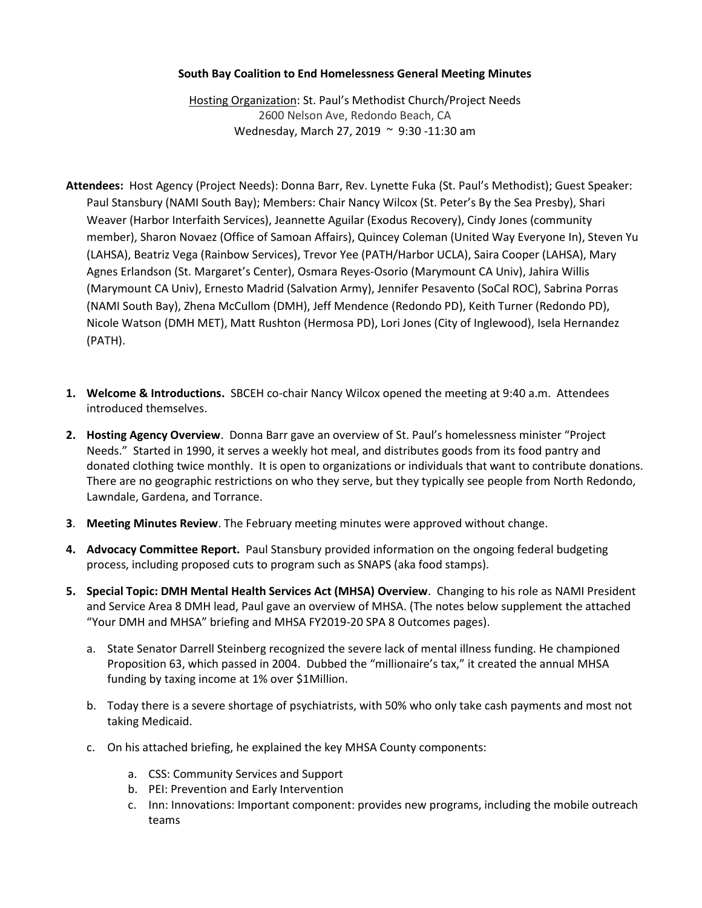## **South Bay Coalition to End Homelessness General Meeting Minutes**

Hosting Organization: St. Paul's Methodist Church/Project Needs 2600 Nelson Ave, Redondo Beach, CA Wednesday, March 27, 2019 ~ 9:30 -11:30 am

- **Attendees:** Host Agency (Project Needs): Donna Barr, Rev. Lynette Fuka (St. Paul's Methodist); Guest Speaker: Paul Stansbury (NAMI South Bay); Members: Chair Nancy Wilcox (St. Peter's By the Sea Presby), Shari Weaver (Harbor Interfaith Services), Jeannette Aguilar (Exodus Recovery), Cindy Jones (community member), Sharon Novaez (Office of Samoan Affairs), Quincey Coleman (United Way Everyone In), Steven Yu (LAHSA), Beatriz Vega (Rainbow Services), Trevor Yee (PATH/Harbor UCLA), Saira Cooper (LAHSA), Mary Agnes Erlandson (St. Margaret's Center), Osmara Reyes-Osorio (Marymount CA Univ), Jahira Willis (Marymount CA Univ), Ernesto Madrid (Salvation Army), Jennifer Pesavento (SoCal ROC), Sabrina Porras (NAMI South Bay), Zhena McCullom (DMH), Jeff Mendence (Redondo PD), Keith Turner (Redondo PD), Nicole Watson (DMH MET), Matt Rushton (Hermosa PD), Lori Jones (City of Inglewood), Isela Hernandez (PATH).
- **1. Welcome & Introductions.** SBCEH co-chair Nancy Wilcox opened the meeting at 9:40 a.m. Attendees introduced themselves.
- **2. Hosting Agency Overview**. Donna Barr gave an overview of St. Paul's homelessness minister "Project Needs." Started in 1990, it serves a weekly hot meal, and distributes goods from its food pantry and donated clothing twice monthly. It is open to organizations or individuals that want to contribute donations. There are no geographic restrictions on who they serve, but they typically see people from North Redondo, Lawndale, Gardena, and Torrance.
- **3**. **Meeting Minutes Review**. The February meeting minutes were approved without change.
- **4. Advocacy Committee Report.** Paul Stansbury provided information on the ongoing federal budgeting process, including proposed cuts to program such as SNAPS (aka food stamps).
- **5. Special Topic: DMH Mental Health Services Act (MHSA) Overview**. Changing to his role as NAMI President and Service Area 8 DMH lead, Paul gave an overview of MHSA. (The notes below supplement the attached "Your DMH and MHSA" briefing and MHSA FY2019-20 SPA 8 Outcomes pages).
	- a. State Senator Darrell Steinberg recognized the severe lack of mental illness funding. He championed Proposition 63, which passed in 2004. Dubbed the "millionaire's tax," it created the annual MHSA funding by taxing income at 1% over \$1Million.
	- b. Today there is a severe shortage of psychiatrists, with 50% who only take cash payments and most not taking Medicaid.
	- c. On his attached briefing, he explained the key MHSA County components:
		- a. CSS: Community Services and Support
		- b. PEI: Prevention and Early Intervention
		- c. Inn: Innovations: Important component: provides new programs, including the mobile outreach teams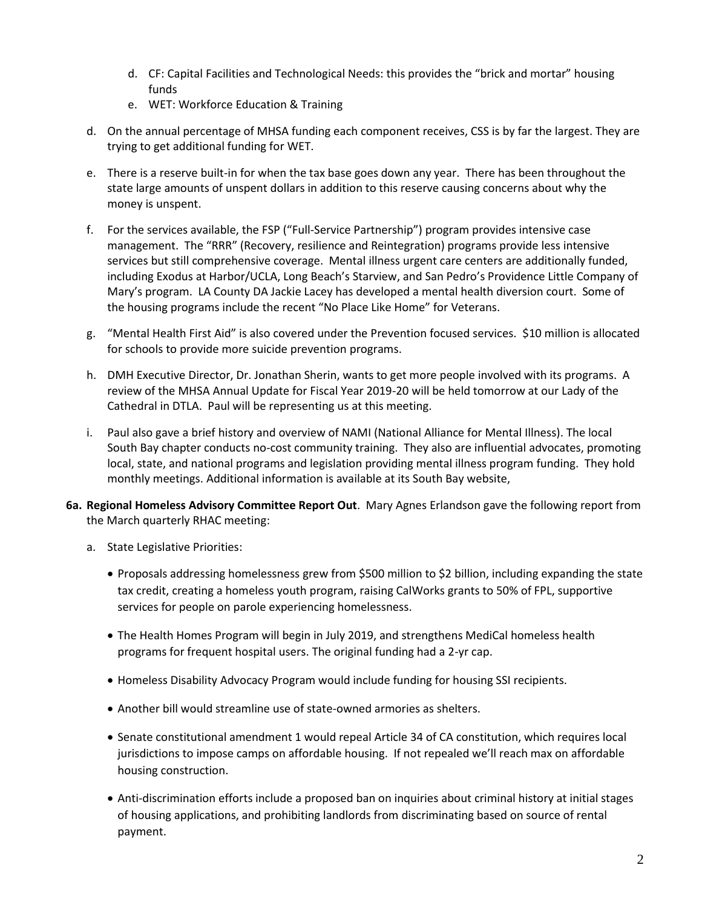- d. CF: Capital Facilities and Technological Needs: this provides the "brick and mortar" housing funds
- e. WET: Workforce Education & Training
- d. On the annual percentage of MHSA funding each component receives, CSS is by far the largest. They are trying to get additional funding for WET.
- e. There is a reserve built-in for when the tax base goes down any year. There has been throughout the state large amounts of unspent dollars in addition to this reserve causing concerns about why the money is unspent.
- f. For the services available, the FSP ("Full-Service Partnership") program provides intensive case management. The "RRR" (Recovery, resilience and Reintegration) programs provide less intensive services but still comprehensive coverage. Mental illness urgent care centers are additionally funded, including Exodus at Harbor/UCLA, Long Beach's Starview, and San Pedro's Providence Little Company of Mary's program. LA County DA Jackie Lacey has developed a mental health diversion court. Some of the housing programs include the recent "No Place Like Home" for Veterans.
- g. "Mental Health First Aid" is also covered under the Prevention focused services. \$10 million is allocated for schools to provide more suicide prevention programs.
- h. DMH Executive Director, Dr. Jonathan Sherin, wants to get more people involved with its programs. A review of the MHSA Annual Update for Fiscal Year 2019-20 will be held tomorrow at our Lady of the Cathedral in DTLA. Paul will be representing us at this meeting.
- i. Paul also gave a brief history and overview of NAMI (National Alliance for Mental Illness). The local South Bay chapter conducts no-cost community training. They also are influential advocates, promoting local, state, and national programs and legislation providing mental illness program funding. They hold monthly meetings. Additional information is available at its South Bay website,
- **6a. Regional Homeless Advisory Committee Report Out**. Mary Agnes Erlandson gave the following report from the March quarterly RHAC meeting:
	- a. State Legislative Priorities:
		- Proposals addressing homelessness grew from \$500 million to \$2 billion, including expanding the state tax credit, creating a homeless youth program, raising CalWorks grants to 50% of FPL, supportive services for people on parole experiencing homelessness.
		- The Health Homes Program will begin in July 2019, and strengthens MediCal homeless health programs for frequent hospital users. The original funding had a 2-yr cap.
		- Homeless Disability Advocacy Program would include funding for housing SSI recipients.
		- Another bill would streamline use of state-owned armories as shelters.
		- Senate constitutional amendment 1 would repeal Article 34 of CA constitution, which requires local jurisdictions to impose camps on affordable housing. If not repealed we'll reach max on affordable housing construction.
		- Anti-discrimination efforts include a proposed ban on inquiries about criminal history at initial stages of housing applications, and prohibiting landlords from discriminating based on source of rental payment.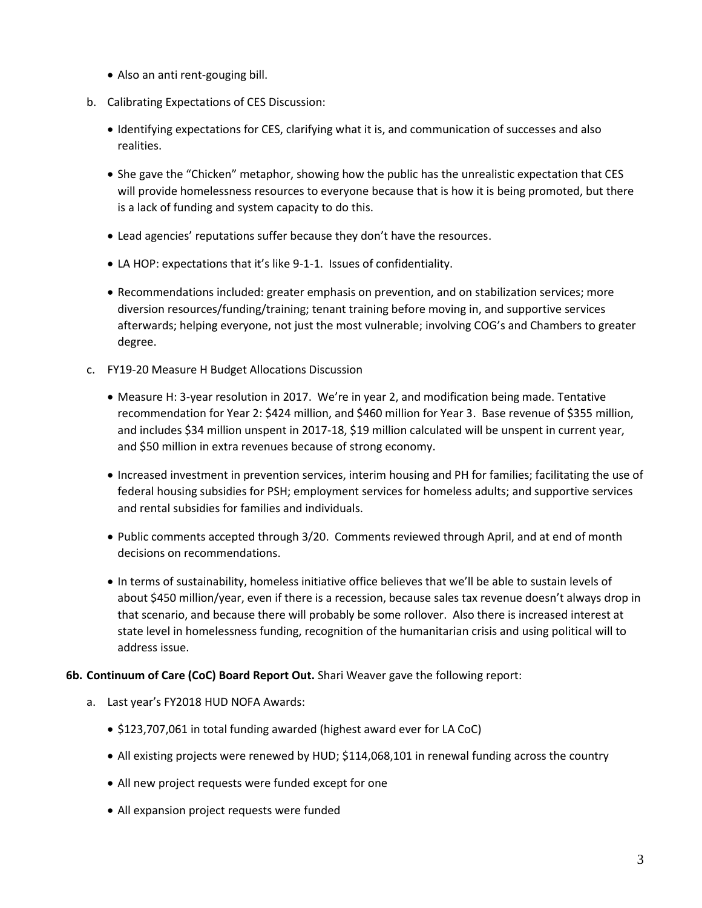- Also an anti rent-gouging bill.
- b. Calibrating Expectations of CES Discussion:
	- Identifying expectations for CES, clarifying what it is, and communication of successes and also realities.
	- She gave the "Chicken" metaphor, showing how the public has the unrealistic expectation that CES will provide homelessness resources to everyone because that is how it is being promoted, but there is a lack of funding and system capacity to do this.
	- Lead agencies' reputations suffer because they don't have the resources.
	- LA HOP: expectations that it's like 9-1-1. Issues of confidentiality.
	- Recommendations included: greater emphasis on prevention, and on stabilization services; more diversion resources/funding/training; tenant training before moving in, and supportive services afterwards; helping everyone, not just the most vulnerable; involving COG's and Chambers to greater degree.
- c. FY19-20 Measure H Budget Allocations Discussion
	- Measure H: 3-year resolution in 2017. We're in year 2, and modification being made. Tentative recommendation for Year 2: \$424 million, and \$460 million for Year 3. Base revenue of \$355 million, and includes \$34 million unspent in 2017-18, \$19 million calculated will be unspent in current year, and \$50 million in extra revenues because of strong economy.
	- Increased investment in prevention services, interim housing and PH for families; facilitating the use of federal housing subsidies for PSH; employment services for homeless adults; and supportive services and rental subsidies for families and individuals.
	- Public comments accepted through 3/20. Comments reviewed through April, and at end of month decisions on recommendations.
	- In terms of sustainability, homeless initiative office believes that we'll be able to sustain levels of about \$450 million/year, even if there is a recession, because sales tax revenue doesn't always drop in that scenario, and because there will probably be some rollover. Also there is increased interest at state level in homelessness funding, recognition of the humanitarian crisis and using political will to address issue.
- **6b. Continuum of Care (CoC) Board Report Out.** Shari Weaver gave the following report:
	- a. Last year's FY2018 HUD NOFA Awards:
		- \$123,707,061 in total funding awarded (highest award ever for LA CoC)
		- All existing projects were renewed by HUD; \$114,068,101 in renewal funding across the country
		- All new project requests were funded except for one
		- All expansion project requests were funded